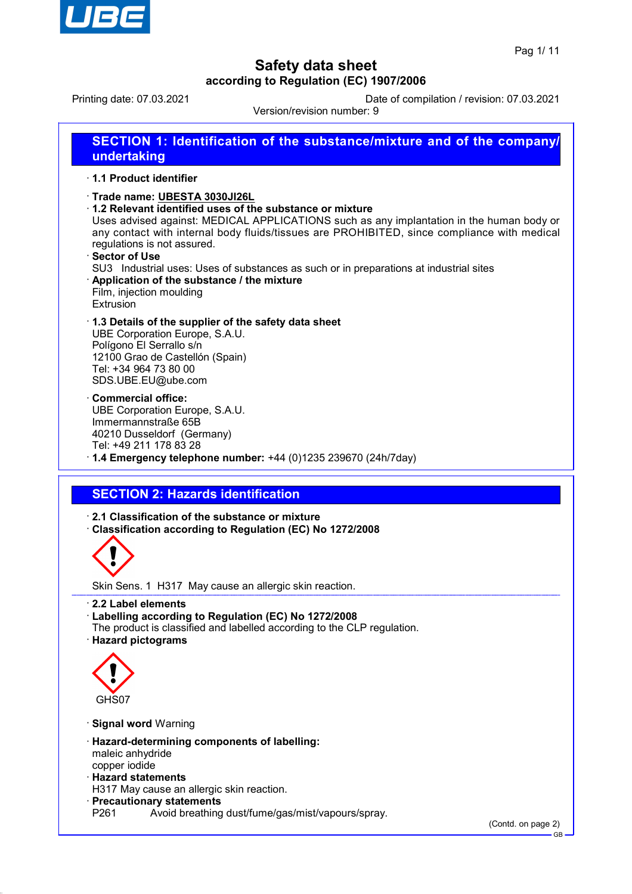

Printing date: 07.03.2021 Date of compilation / revision: 07.03.2021

Version/revision number: 9

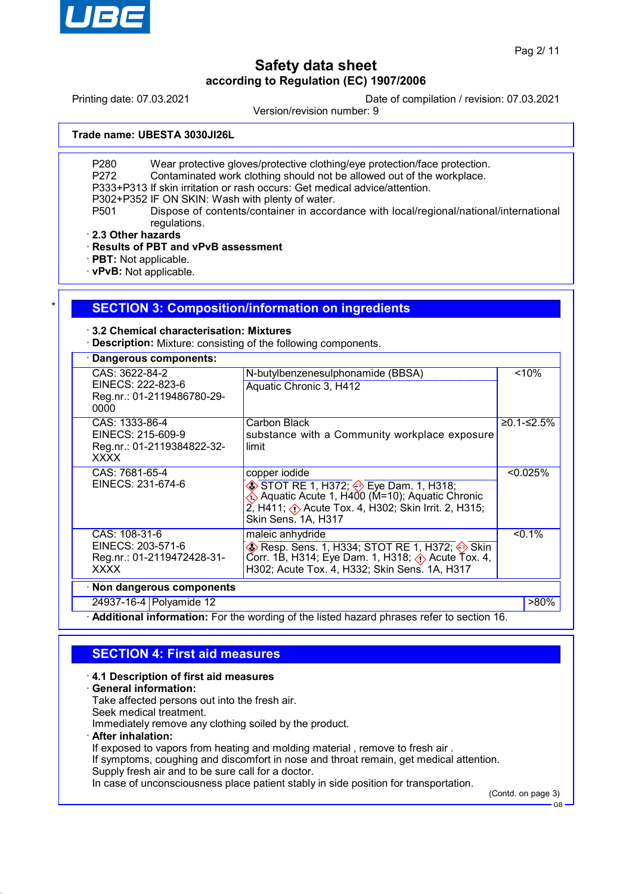

Printing date: 07.03.2021 Date of compilation / revision: 07.03.2021

Version/revision number: 9

**Trade name: UBESTA 3030JI26L**

P280 Wear protective gloves/protective clothing/eye protection/face protection.

- P272 Contaminated work clothing should not be allowed out of the workplace.
- P333+P313 If skin irritation or rash occurs: Get medical advice/attention.

P302+P352 IF ON SKIN: Wash with plenty of water.

P501 Dispose of contents/container in accordance with local/regional/national/international regulations.

· **2.3 Other hazards**

· **Results of PBT and vPvB assessment**

· **PBT:** Not applicable.

· **vPvB:** Not applicable.

### **SECTION 3: Composition/information on ingredients**

· **3.2 Chemical characterisation: Mixtures**

· **Description:** Mixture: consisting of the following components.

| <b>Dangerous components:</b>                                                     |                                                                                                                                                                                                                                                             |            |
|----------------------------------------------------------------------------------|-------------------------------------------------------------------------------------------------------------------------------------------------------------------------------------------------------------------------------------------------------------|------------|
| CAS: 3622-84-2<br>EINECS: 222-823-6<br>Reg.nr.: 01-2119486780-29-<br>0000        | N-butylbenzenesulphonamide (BBSA)<br>Aquatic Chronic 3, H412                                                                                                                                                                                                | < 10%      |
| CAS: 1333-86-4<br>EINECS: 215-609-9<br>Reg.nr.: 01-2119384822-32-<br><b>XXXX</b> | Carbon Black<br>substance with a Community workplace exposure<br>limit                                                                                                                                                                                      | ≥0.1-≤2.5% |
| CAS: 7681-65-4<br>EINECS: 231-674-6                                              | copper iodide<br>$\diamondsuit$ STOT RE 1, H372; $\diamondsuit$ Eye Dam. 1, H318;<br>$\leftrightarrow$ Aquatic Acute 1, H400 (M=10); Aquatic Chronic<br>$2$ , H411; $\langle \cdot \rangle$ Acute Tox. 4, H302; Skin Irrit. 2, H315;<br>Skin Sens. 1A, H317 | < 0.025%   |
| CAS: 108-31-6<br>EINECS: 203-571-6<br>Reg.nr.: 01-2119472428-31-<br><b>XXXX</b>  | maleic anhydride<br>$\diamondsuit$ Resp. Sens. 1, H334; STOT RE 1, H372; $\diamondsuit$ Skin<br>Corr. 1B, H314; Eye Dam. 1, H318; $\Diamond$ Acute Tox. 4,<br>H302; Acute Tox. 4, H332; Skin Sens. 1A, H317                                                 | $< 0.1\%$  |
| · Non dangerous components                                                       |                                                                                                                                                                                                                                                             |            |
| 24937-16-4 Polyamide 12                                                          |                                                                                                                                                                                                                                                             | >80%       |

Additional information: For the wording of the listed hazard phrases refer to section 16.

## **SECTION 4: First aid measures**

#### · **4.1 Description of first aid measures**

· **General information:**

Take affected persons out into the fresh air.

Seek medical treatment.

Immediately remove any clothing soiled by the product.

· **After inhalation:**

If exposed to vapors from heating and molding material , remove to fresh air .

If symptoms, coughing and discomfort in nose and throat remain, get medical attention. Supply fresh air and to be sure call for a doctor.

In case of unconsciousness place patient stably in side position for transportation.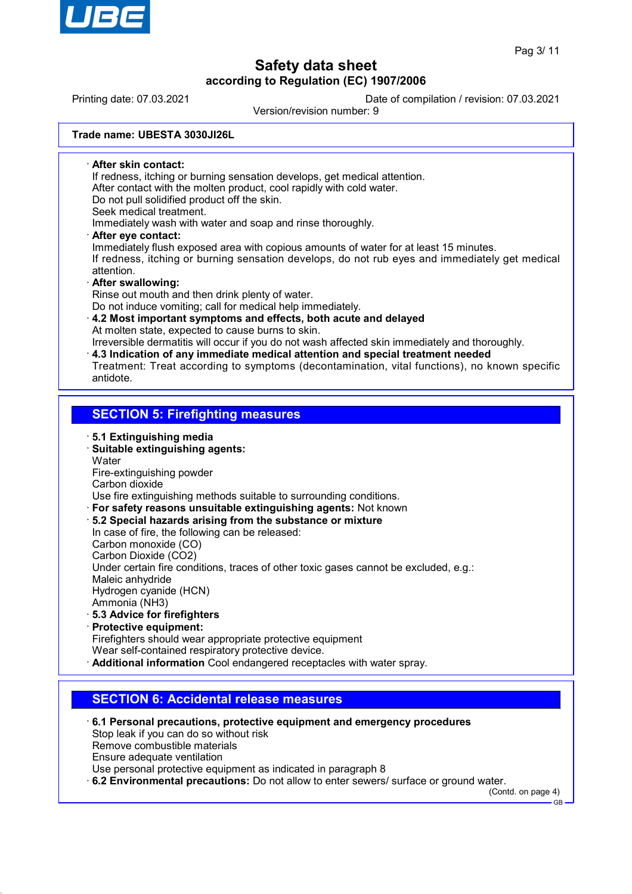

Printing date: 07.03.2021 Date of compilation / revision: 07.03.2021

Version/revision number: 9

**Trade name: UBESTA 3030JI26L**

· **After skin contact:** If redness, itching or burning sensation develops, get medical attention. After contact with the molten product, cool rapidly with cold water. Do not pull solidified product off the skin. Seek medical treatment. Immediately wash with water and soap and rinse thoroughly. · **After eye contact:** Immediately flush exposed area with copious amounts of water for at least 15 minutes. If redness, itching or burning sensation develops, do not rub eyes and immediately get medical attention.

#### · **After swallowing:**

Rinse out mouth and then drink plenty of water.

Do not induce vomiting; call for medical help immediately.

· **4.2 Most important symptoms and effects, both acute and delayed** At molten state, expected to cause burns to skin.

Irreversible dermatitis will occur if you do not wash affected skin immediately and thoroughly.

· **4.3 Indication of any immediate medical attention and special treatment needed** Treatment: Treat according to symptoms (decontamination, vital functions), no known specific antidote.

### **SECTION 5: Firefighting measures**

- · **5.1 Extinguishing media** · **Suitable extinguishing agents:**
- **Water**

Fire-extinguishing powder

Carbon dioxide

Use fire extinguishing methods suitable to surrounding conditions.

- · **For safety reasons unsuitable extinguishing agents:** Not known
- · **5.2 Special hazards arising from the substance or mixture**
- In case of fire, the following can be released:

Carbon monoxide (CO)

Carbon Dioxide (CO2)

Under certain fire conditions, traces of other toxic gases cannot be excluded, e.g.:

Maleic anhydride Hydrogen cyanide (HCN)

Ammonia (NH3)

- · **5.3 Advice for firefighters**
- · **Protective equipment:**

Firefighters should wear appropriate protective equipment Wear self-contained respiratory protective device.

· **Additional information** Cool endangered receptacles with water spray.

## **SECTION 6: Accidental release measures**

- · **6.1 Personal precautions, protective equipment and emergency procedures** Stop leak if you can do so without risk Remove combustible materials Ensure adequate ventilation Use personal protective equipment as indicated in paragraph 8
- · **6.2 Environmental precautions:** Do not allow to enter sewers/ surface or ground water.

(Contd. on page 4)

GB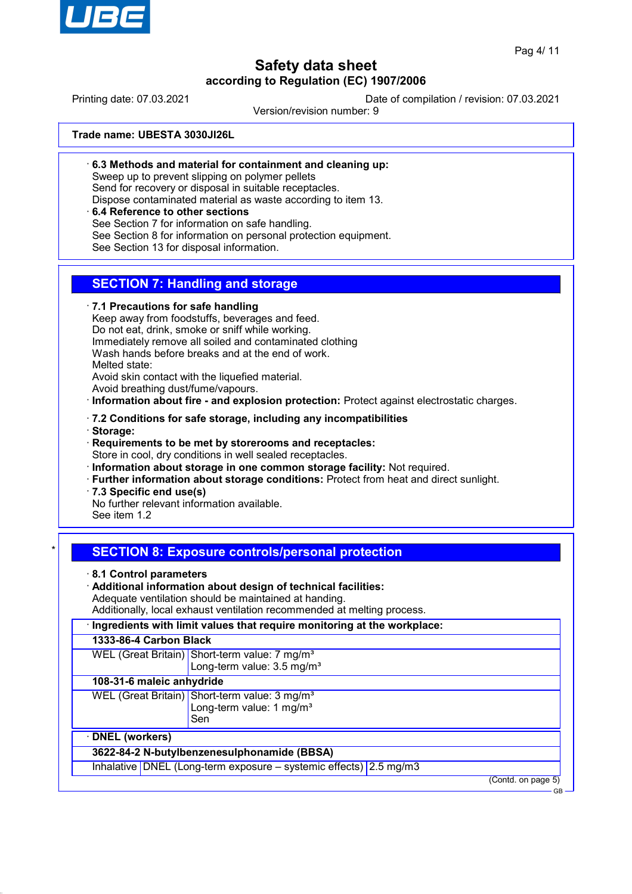

Printing date: 07.03.2021 Date of compilation / revision: 07.03.2021

Version/revision number: 9

**Trade name: UBESTA 3030JI26L**

· **6.3 Methods and material for containment and cleaning up:**

Sweep up to prevent slipping on polymer pellets

Send for recovery or disposal in suitable receptacles.

Dispose contaminated material as waste according to item 13.

### · **6.4 Reference to other sections**

See Section 7 for information on safe handling.

See Section 8 for information on personal protection equipment.

See Section 13 for disposal information.

## **SECTION 7: Handling and storage**

· **7.1 Precautions for safe handling**

Keep away from foodstuffs, beverages and feed.

Do not eat, drink, smoke or sniff while working.

Immediately remove all soiled and contaminated clothing

Wash hands before breaks and at the end of work.

Melted state:

Avoid skin contact with the liquefied material.

Avoid breathing dust/fume/vapours.

· **Information about fire - and explosion protection:** Protect against electrostatic charges.

- · **7.2 Conditions for safe storage, including any incompatibilities**
- · **Storage:**
- · **Requirements to be met by storerooms and receptacles:** Store in cool, dry conditions in well sealed receptacles.
- · **Information about storage in one common storage facility:** Not required.
- · **Further information about storage conditions:** Protect from heat and direct sunlight.
- · **7.3 Specific end use(s)**

No further relevant information available. See item 1.2

## **SECTION 8: Exposure controls/personal protection**

· **8.1 Control parameters**

· **Additional information about design of technical facilities:**

Adequate ventilation should be maintained at handing.

Additionally, local exhaust ventilation recommended at melting process.

| · Ingredients with limit values that require monitoring at the workplace: |                                                                                                          |  |  |
|---------------------------------------------------------------------------|----------------------------------------------------------------------------------------------------------|--|--|
|                                                                           | 1333-86-4 Carbon Black                                                                                   |  |  |
|                                                                           | WEL (Great Britain) Short-term value: 7 mg/m <sup>3</sup><br>Long-term value: 3.5 mg/m <sup>3</sup>      |  |  |
|                                                                           | 108-31-6 maleic anhydride                                                                                |  |  |
|                                                                           | WEL (Great Britain) Short-term value: 3 mg/m <sup>3</sup><br>Long-term value: 1 mg/m <sup>3</sup><br>Sen |  |  |
| · DNEL (workers)                                                          |                                                                                                          |  |  |
| 3622-84-2 N-butylbenzenesulphonamide (BBSA)                               |                                                                                                          |  |  |
|                                                                           | Inhalative   DNEL (Long-term exposure - systemic effects) 2.5 mg/m3                                      |  |  |
|                                                                           | (Contd. on page 5)                                                                                       |  |  |

GB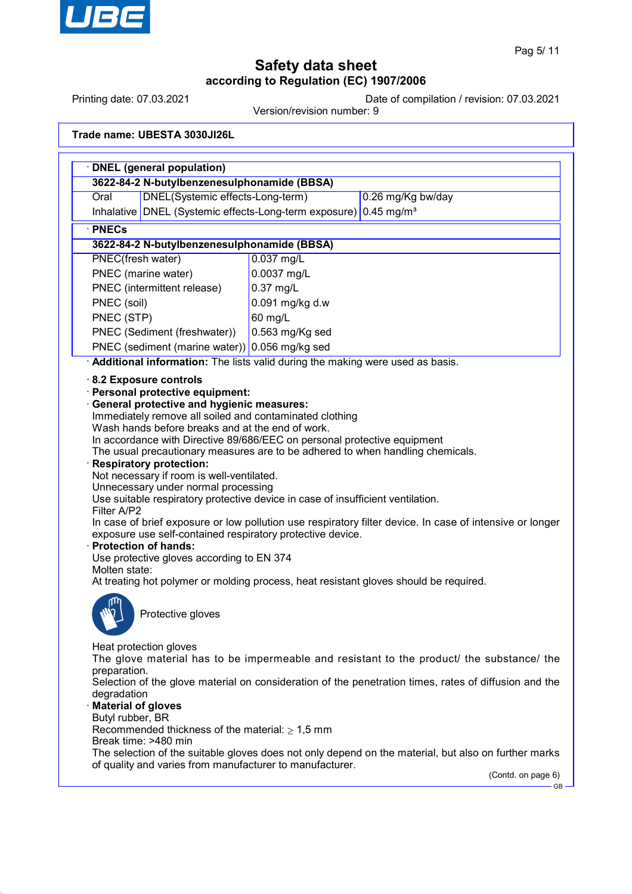

Printing date: 07.03.2021 Date of compilation / revision: 07.03.2021

Version/revision number: 9

**Trade name: UBESTA 3030JI26L**

| 3622-84-2 N-butylbenzenesulphonamide (BBSA)<br>DNEL(Systemic effects-Long-term)<br>Oral                                                                                                                                                                                                                                                                                                                                                                                                                                                                                                                                                                                                                                                                                                                | 0.26 mg/Kg bw/day                                                             |  |
|--------------------------------------------------------------------------------------------------------------------------------------------------------------------------------------------------------------------------------------------------------------------------------------------------------------------------------------------------------------------------------------------------------------------------------------------------------------------------------------------------------------------------------------------------------------------------------------------------------------------------------------------------------------------------------------------------------------------------------------------------------------------------------------------------------|-------------------------------------------------------------------------------|--|
| Inhalative   DNEL (Systemic effects-Long-term exposure)                                                                                                                                                                                                                                                                                                                                                                                                                                                                                                                                                                                                                                                                                                                                                | $0.45$ mg/m <sup>3</sup>                                                      |  |
| <b>PNECs</b>                                                                                                                                                                                                                                                                                                                                                                                                                                                                                                                                                                                                                                                                                                                                                                                           |                                                                               |  |
| 3622-84-2 N-butylbenzenesulphonamide (BBSA)                                                                                                                                                                                                                                                                                                                                                                                                                                                                                                                                                                                                                                                                                                                                                            |                                                                               |  |
| <b>PNEC(fresh water)</b>                                                                                                                                                                                                                                                                                                                                                                                                                                                                                                                                                                                                                                                                                                                                                                               | $0.037$ mg/L                                                                  |  |
| PNEC (marine water)                                                                                                                                                                                                                                                                                                                                                                                                                                                                                                                                                                                                                                                                                                                                                                                    | 0.0037 mg/L                                                                   |  |
| PNEC (intermittent release)                                                                                                                                                                                                                                                                                                                                                                                                                                                                                                                                                                                                                                                                                                                                                                            | $0.37$ mg/L                                                                   |  |
| PNEC (soil)                                                                                                                                                                                                                                                                                                                                                                                                                                                                                                                                                                                                                                                                                                                                                                                            | 0.091 mg/kg d.w                                                               |  |
| PNEC (STP)                                                                                                                                                                                                                                                                                                                                                                                                                                                                                                                                                                                                                                                                                                                                                                                             | 60 mg/L                                                                       |  |
| PNEC (Sediment (freshwater))                                                                                                                                                                                                                                                                                                                                                                                                                                                                                                                                                                                                                                                                                                                                                                           | 0.563 mg/Kg sed                                                               |  |
| PNEC (sediment (marine water)) 0.056 mg/kg sed                                                                                                                                                                                                                                                                                                                                                                                                                                                                                                                                                                                                                                                                                                                                                         |                                                                               |  |
|                                                                                                                                                                                                                                                                                                                                                                                                                                                                                                                                                                                                                                                                                                                                                                                                        | Additional information: The lists valid during the making were used as basis. |  |
| Wash hands before breaks and at the end of work.<br>In accordance with Directive 89/686/EEC on personal protective equipment<br>The usual precautionary measures are to be adhered to when handling chemicals.<br><b>Respiratory protection:</b><br>Not necessary if room is well-ventilated.<br>Unnecessary under normal processing<br>Use suitable respiratory protective device in case of insufficient ventilation.<br>Filter A/P2<br>In case of brief exposure or low pollution use respiratory filter device. In case of intensive or longer<br>exposure use self-contained respiratory protective device.<br><b>Protection of hands:</b><br>Use protective gloves according to EN 374<br>Molten state:<br>At treating hot polymer or molding process, heat resistant gloves should be required. |                                                                               |  |
| Protective gloves<br>Heat protection gloves                                                                                                                                                                                                                                                                                                                                                                                                                                                                                                                                                                                                                                                                                                                                                            |                                                                               |  |
| The glove material has to be impermeable and resistant to the product/ the substance/ the<br>preparation.<br>Selection of the glove material on consideration of the penetration times, rates of diffusion and the<br>degradation<br><b>Material of gloves</b><br>Butyl rubber, BR                                                                                                                                                                                                                                                                                                                                                                                                                                                                                                                     |                                                                               |  |
| Recommended thickness of the material: $\geq 1.5$ mm<br>Break time: >480 min                                                                                                                                                                                                                                                                                                                                                                                                                                                                                                                                                                                                                                                                                                                           |                                                                               |  |
| The selection of the suitable gloves does not only depend on the material, but also on further marks<br>of quality and varies from manufacturer to manufacturer.                                                                                                                                                                                                                                                                                                                                                                                                                                                                                                                                                                                                                                       |                                                                               |  |
|                                                                                                                                                                                                                                                                                                                                                                                                                                                                                                                                                                                                                                                                                                                                                                                                        |                                                                               |  |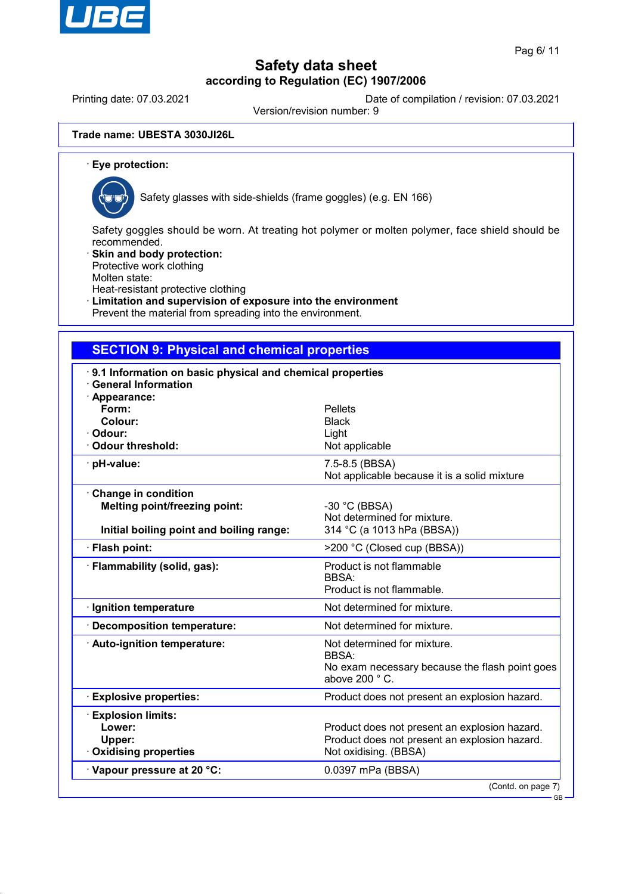

Printing date: 07.03.2021 Date of compilation / revision: 07.03.2021

Version/revision number: 9

**Trade name: UBESTA 3030JI26L**

· **Eye protection:**



Safety glasses with side-shields (frame goggles) (e.g. EN 166)

Safety goggles should be worn. At treating hot polymer or molten polymer, face shield should be recommended.

Skin and body protection: Protective work clothing

Molten state:

Heat-resistant protective clothing

Limitation and supervision of exposure into the environment

Prevent the material from spreading into the environment.

### **SECTION 9: Physical and chemical properties**

| 9.1 Information on basic physical and chemical properties<br><b>General Information</b>                 |                                                                                                                         |
|---------------------------------------------------------------------------------------------------------|-------------------------------------------------------------------------------------------------------------------------|
| · Appearance:<br>Form:<br>Colour:<br>· Odour:<br>Odour threshold:                                       | <b>Pellets</b><br><b>Black</b><br>Light<br>Not applicable                                                               |
| · pH-value:                                                                                             | 7.5-8.5 (BBSA)<br>Not applicable because it is a solid mixture                                                          |
| Change in condition<br><b>Melting point/freezing point:</b><br>Initial boiling point and boiling range: | -30 °C (BBSA)<br>Not determined for mixture.<br>314 °C (a 1013 hPa (BBSA))                                              |
| · Flash point:                                                                                          | >200 °C (Closed cup (BBSA))                                                                                             |
| · Flammability (solid, gas):                                                                            | Product is not flammable<br>BBSA:<br>Product is not flammable.                                                          |
| · Ignition temperature                                                                                  | Not determined for mixture.                                                                                             |
| · Decomposition temperature:                                                                            | Not determined for mixture.                                                                                             |
| · Auto-ignition temperature:                                                                            | Not determined for mixture.<br><b>BBSA:</b><br>No exam necessary because the flash point goes<br>above 200 °C.          |
| <b>Explosive properties:</b>                                                                            | Product does not present an explosion hazard.                                                                           |
| <b>Explosion limits:</b><br>Lower:<br>Upper:<br>Oxidising properties                                    | Product does not present an explosion hazard.<br>Product does not present an explosion hazard.<br>Not oxidising. (BBSA) |
| Vapour pressure at 20 °C:                                                                               | 0.0397 mPa (BBSA)                                                                                                       |
|                                                                                                         | (Contd. on page 7)                                                                                                      |

GB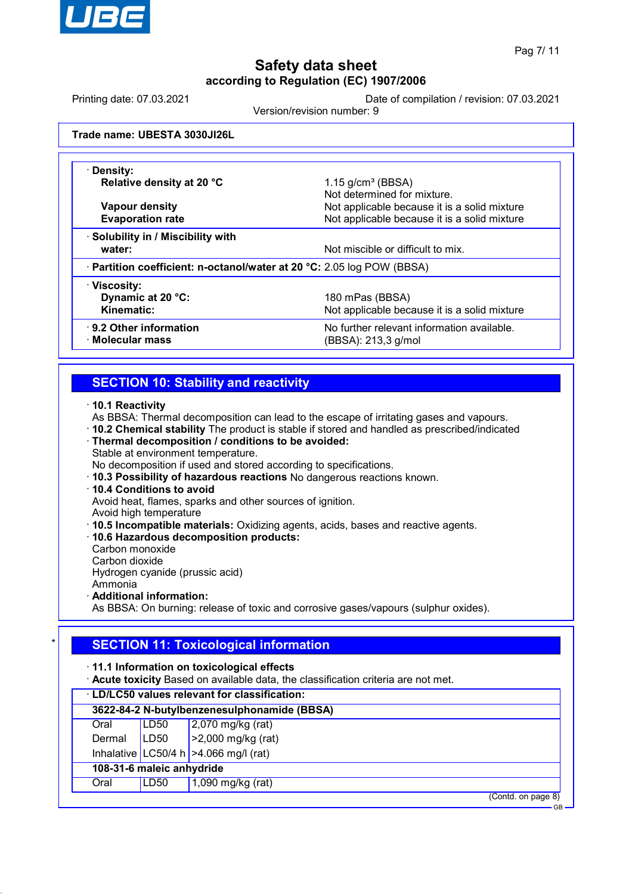

GB

# **Safety data sheet according to Regulation (EC) 1907/2006**

Printing date: 07.03.2021 Date of compilation / revision: 07.03.2021

Version/revision number: 9

**Trade name: UBESTA 3030JI26L**

| · Density:                                                             |                                              |  |
|------------------------------------------------------------------------|----------------------------------------------|--|
| Relative density at 20 °C                                              | $1.15$ g/cm <sup>3</sup> (BBSA)              |  |
|                                                                        | Not determined for mixture.                  |  |
| Vapour density                                                         | Not applicable because it is a solid mixture |  |
| <b>Evaporation rate</b>                                                | Not applicable because it is a solid mixture |  |
| · Solubility in / Miscibility with                                     |                                              |  |
| water:                                                                 | Not miscible or difficult to mix.            |  |
| · Partition coefficient: n-octanol/water at 20 °C: 2.05 log POW (BBSA) |                                              |  |
| · Viscosity:                                                           |                                              |  |
| Dynamic at 20 °C:                                                      | 180 mPas (BBSA)                              |  |
| Kinematic:                                                             | Not applicable because it is a solid mixture |  |
| $\cdot$ 9.2 Other information                                          | No further relevant information available.   |  |
| · Molecular mass                                                       | (BBSA): 213,3 g/mol                          |  |
|                                                                        |                                              |  |

## **SECTION 10: Stability and reactivity**

· **10.1 Reactivity**

As BBSA: Thermal decomposition can lead to the escape of irritating gases and vapours.

· **10.2 Chemical stability** The product is stable if stored and handled as prescribed/indicated

· **Thermal decomposition / conditions to be avoided:**

Stable at environment temperature.

No decomposition if used and stored according to specifications.

- · **10.3 Possibility of hazardous reactions** No dangerous reactions known.
- · **10.4 Conditions to avoid**

Avoid heat, flames, sparks and other sources of ignition.

Avoid high temperature

· **10.5 Incompatible materials:** Oxidizing agents, acids, bases and reactive agents.

- · **10.6 Hazardous decomposition products:**
- Carbon monoxide

Carbon dioxide Hydrogen cyanide (prussic acid)

Ammonia

· **Additional information:**

As BBSA: On burning: release of toxic and corrosive gases/vapours (sulphur oxides).

## **SECTION 11: Toxicological information**

· **11.1 Information on toxicological effects**

· **Acute toxicity** Based on available data, the classification criteria are not met.

| · LD/LC50 values relevant for classification: |      |                                         |  |  |
|-----------------------------------------------|------|-----------------------------------------|--|--|
| 3622-84-2 N-butylbenzenesulphonamide (BBSA)   |      |                                         |  |  |
| Oral                                          | LD50 | $2,070$ mg/kg (rat)                     |  |  |
| Dermal                                        | LD50 | $ >2,000$ mg/kg (rat)                   |  |  |
|                                               |      | Inhalative LC50/4 h $>4.066$ mg/l (rat) |  |  |
| 108-31-6 maleic anhydride                     |      |                                         |  |  |
| Oral                                          | LD50 | 1,090 mg/kg $(rat)$                     |  |  |
| (Contd. on page 8)                            |      |                                         |  |  |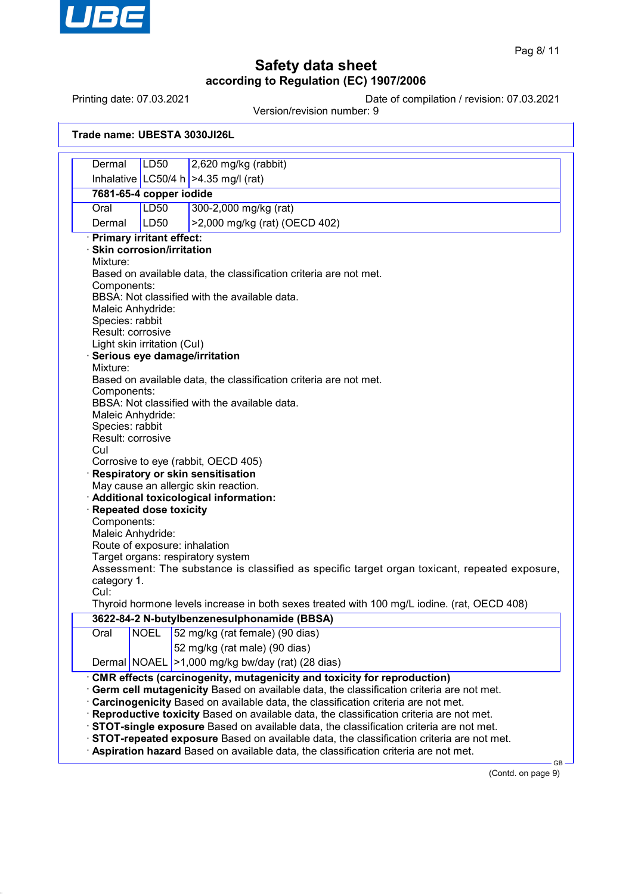

Printing date: 07.03.2021 Date of compilation / revision: 07.03.2021

Version/revision number: 9

| Trade name: UBESTA 3030JI26L |  |
|------------------------------|--|
|                              |  |

| Dermal                                                                                        | <b>LD50</b>                                                                      | 2,620 mg/kg (rabbit)                                                                        |  |
|-----------------------------------------------------------------------------------------------|----------------------------------------------------------------------------------|---------------------------------------------------------------------------------------------|--|
|                                                                                               |                                                                                  | Inhalative LC50/4 h $>4.35$ mg/l (rat)                                                      |  |
| 7681-65-4 copper iodide                                                                       |                                                                                  |                                                                                             |  |
| Oral                                                                                          | <b>LD50</b>                                                                      | 300-2,000 mg/kg (rat)                                                                       |  |
| Dermal                                                                                        | LD50                                                                             | >2,000 mg/kg (rat) (OECD 402)                                                               |  |
| · Primary irritant effect:                                                                    |                                                                                  |                                                                                             |  |
| · Skin corrosion/irritation                                                                   |                                                                                  |                                                                                             |  |
| Mixture:                                                                                      |                                                                                  |                                                                                             |  |
|                                                                                               | Based on available data, the classification criteria are not met.<br>Components: |                                                                                             |  |
|                                                                                               |                                                                                  | BBSA: Not classified with the available data.                                               |  |
|                                                                                               | Maleic Anhydride:                                                                |                                                                                             |  |
| Species: rabbit                                                                               |                                                                                  |                                                                                             |  |
|                                                                                               | Result: corrosive                                                                |                                                                                             |  |
|                                                                                               | Light skin irritation (Cul)                                                      | Serious eye damage/irritation                                                               |  |
| Mixture:                                                                                      |                                                                                  |                                                                                             |  |
|                                                                                               |                                                                                  | Based on available data, the classification criteria are not met.                           |  |
| Components:                                                                                   |                                                                                  |                                                                                             |  |
| BBSA: Not classified with the available data.                                                 |                                                                                  |                                                                                             |  |
|                                                                                               | Maleic Anhydride:                                                                |                                                                                             |  |
| Species: rabbit<br>Result: corrosive                                                          |                                                                                  |                                                                                             |  |
| Cul                                                                                           |                                                                                  |                                                                                             |  |
| Corrosive to eye (rabbit, OECD 405)                                                           |                                                                                  |                                                                                             |  |
| Respiratory or skin sensitisation                                                             |                                                                                  |                                                                                             |  |
|                                                                                               |                                                                                  | May cause an allergic skin reaction.                                                        |  |
| Repeated dose toxicity                                                                        |                                                                                  | · Additional toxicological information:                                                     |  |
| Components:                                                                                   |                                                                                  |                                                                                             |  |
|                                                                                               | Maleic Anhydride:                                                                |                                                                                             |  |
|                                                                                               |                                                                                  | Route of exposure: inhalation                                                               |  |
|                                                                                               |                                                                                  | Target organs: respiratory system                                                           |  |
| Assessment: The substance is classified as specific target organ toxicant, repeated exposure, |                                                                                  |                                                                                             |  |
| category 1.<br>Cul:                                                                           |                                                                                  |                                                                                             |  |
|                                                                                               |                                                                                  | Thyroid hormone levels increase in both sexes treated with 100 mg/L iodine. (rat, OECD 408) |  |
| 3622-84-2 N-butylbenzenesulphonamide (BBSA)                                                   |                                                                                  |                                                                                             |  |
| Oral                                                                                          | <b>NOEL</b>                                                                      | 52 mg/kg (rat female) (90 dias)                                                             |  |
|                                                                                               |                                                                                  | 52 mg/kg (rat male) (90 dias)                                                               |  |
|                                                                                               | Dermal NOAEL                                                                     | >1,000 mg/kg bw/day (rat) (28 dias)                                                         |  |
|                                                                                               |                                                                                  | CMR effects (carcinogenity, mutagenicity and toxicity for reproduction)                     |  |
|                                                                                               |                                                                                  | · Germ cell mutagenicity Based on available data, the classification criteria are not met.  |  |
|                                                                                               |                                                                                  | · Carcinogenicity Based on available data, the classification criteria are not met.         |  |
|                                                                                               |                                                                                  | · Reproductive toxicity Based on available data, the classification criteria are not met.   |  |
| STOT-single exposure Based on available data, the classification criteria are not met.        |                                                                                  |                                                                                             |  |
| STOT-repeated exposure Based on available data, the classification criteria are not met.      |                                                                                  |                                                                                             |  |
|                                                                                               |                                                                                  | Aspiration hazard Based on available data, the classification criteria are not met.<br>GВ   |  |
|                                                                                               |                                                                                  |                                                                                             |  |

(Contd. on page 9)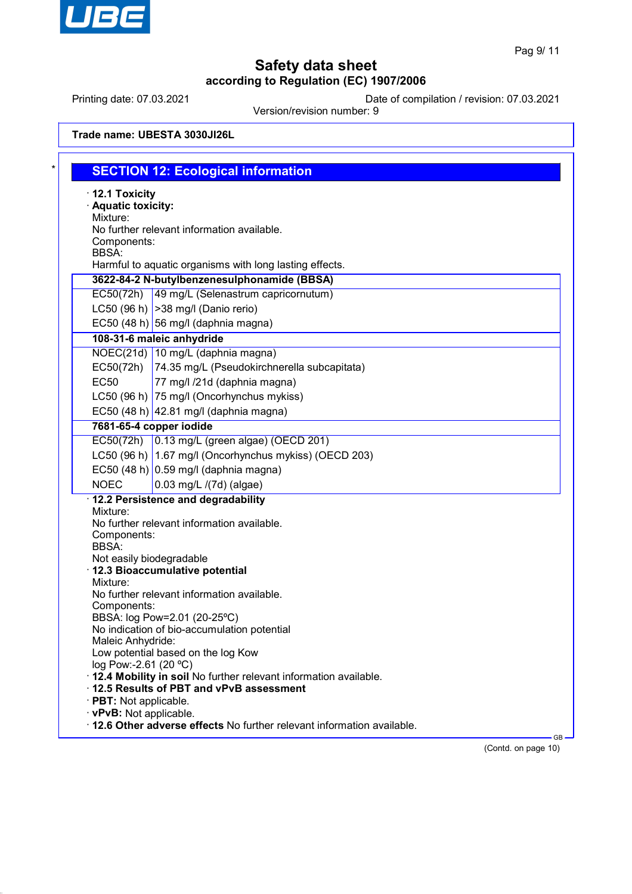

Printing date: 07.03.2021 Date of compilation / revision: 07.03.2021

Version/revision number: 9

| $\cdot$ 12.1 Toxicity<br>· Aquatic toxicity:      |                                                                             |  |
|---------------------------------------------------|-----------------------------------------------------------------------------|--|
| Mixture:                                          |                                                                             |  |
|                                                   | No further relevant information available.                                  |  |
| Components:                                       |                                                                             |  |
| <b>BBSA:</b>                                      | Harmful to aquatic organisms with long lasting effects.                     |  |
|                                                   | 3622-84-2 N-butylbenzenesulphonamide (BBSA)                                 |  |
|                                                   | EC50(72h) 49 mg/L (Selenastrum capricornutum)                               |  |
|                                                   | LC50 (96 h) $ >38$ mg/l (Danio rerio)                                       |  |
|                                                   | EC50 $(48 h)$ 56 mg/l (daphnia magna)                                       |  |
|                                                   | 108-31-6 maleic anhydride                                                   |  |
|                                                   | NOEC(21d) 10 mg/L (daphnia magna)                                           |  |
|                                                   | EC50(72h) 74.35 mg/L (Pseudokirchnerella subcapitata)                       |  |
| <b>EC50</b>                                       | 77 mg/l /21d (daphnia magna)                                                |  |
|                                                   | LC50 (96 h) 75 mg/l (Oncorhynchus mykiss)                                   |  |
|                                                   | EC50 (48 h) 42.81 mg/l (daphnia magna)                                      |  |
| 7681-65-4 copper iodide                           |                                                                             |  |
|                                                   | EC50(72h) 0.13 mg/L (green algae) (OECD 201)                                |  |
|                                                   | LC50 (96 h) 1.67 mg/l (Oncorhynchus mykiss) (OECD 203)                      |  |
|                                                   | EC50 (48 h) $\vert$ 0.59 mg/l (daphnia magna)                               |  |
| <b>NOEC</b>                                       | 0.03 mg/L /(7d) (algae)                                                     |  |
|                                                   | · 12.2 Persistence and degradability                                        |  |
| Mixture:                                          |                                                                             |  |
|                                                   | No further relevant information available.                                  |  |
| Components:                                       |                                                                             |  |
| <b>BBSA:</b><br>Not easily biodegradable          |                                                                             |  |
|                                                   | · 12.3 Bioaccumulative potential                                            |  |
| Mixture:                                          |                                                                             |  |
|                                                   | No further relevant information available.                                  |  |
| Components:                                       |                                                                             |  |
|                                                   | BBSA: log Pow=2.01 (20-25°C)<br>No indication of bio-accumulation potential |  |
| Maleic Anhydride:                                 |                                                                             |  |
|                                                   | Low potential based on the log Kow                                          |  |
| log Pow:-2.61 (20 °C)                             |                                                                             |  |
|                                                   | . 12.4 Mobility in soil No further relevant information available.          |  |
|                                                   |                                                                             |  |
|                                                   | 12.5 Results of PBT and vPvB assessment                                     |  |
| · PBT: Not applicable.<br>· vPvB: Not applicable. |                                                                             |  |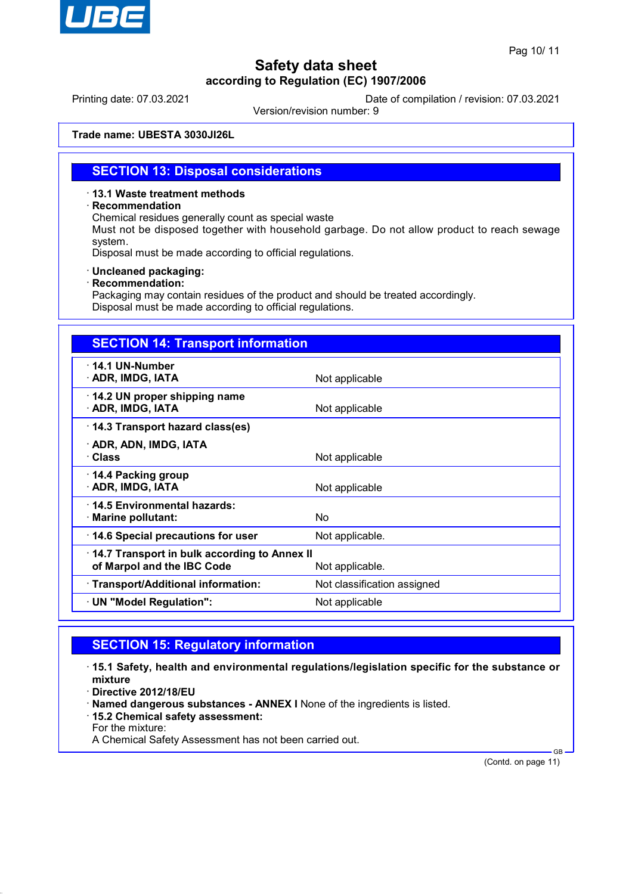

Printing date: 07.03.2021 Date of compilation / revision: 07.03.2021

Version/revision number: 9

**Trade name: UBESTA 3030JI26L**

### **SECTION 13: Disposal considerations**

#### · **13.1 Waste treatment methods**

#### · **Recommendation**

Chemical residues generally count as special waste

Must not be disposed together with household garbage. Do not allow product to reach sewage system.

Disposal must be made according to official regulations.

#### · **Uncleaned packaging:**

· **Recommendation:**

Packaging may contain residues of the product and should be treated accordingly. Disposal must be made according to official regulations.

| <b>SECTION 14: Transport information</b>                                   |                             |
|----------------------------------------------------------------------------|-----------------------------|
| $\cdot$ 14.1 UN-Number<br>· ADR, IMDG, IATA                                | Not applicable              |
| 14.2 UN proper shipping name<br>· ADR, IMDG, IATA                          | Not applicable              |
| 14.3 Transport hazard class(es)                                            |                             |
| · ADR, ADN, IMDG, IATA<br>· Class                                          | Not applicable              |
| 14.4 Packing group<br>· ADR, IMDG, IATA                                    | Not applicable              |
| 14.5 Environmental hazards:<br>$\cdot$ Marine pollutant:                   | No                          |
| 14.6 Special precautions for user                                          | Not applicable.             |
| 14.7 Transport in bulk according to Annex II<br>of Marpol and the IBC Code | Not applicable.             |
| · Transport/Additional information:                                        | Not classification assigned |
| · UN "Model Regulation":                                                   | Not applicable              |

### **SECTION 15: Regulatory information**

· **15.1 Safety, health and environmental regulations/legislation specific for the substance or mixture**

· **Directive 2012/18/EU**

- · **Named dangerous substances ANNEX I** None of the ingredients is listed.
- · **15.2 Chemical safety assessment:**
- For the mixture:

A Chemical Safety Assessment has not been carried out.

(Contd. on page 11)

GB